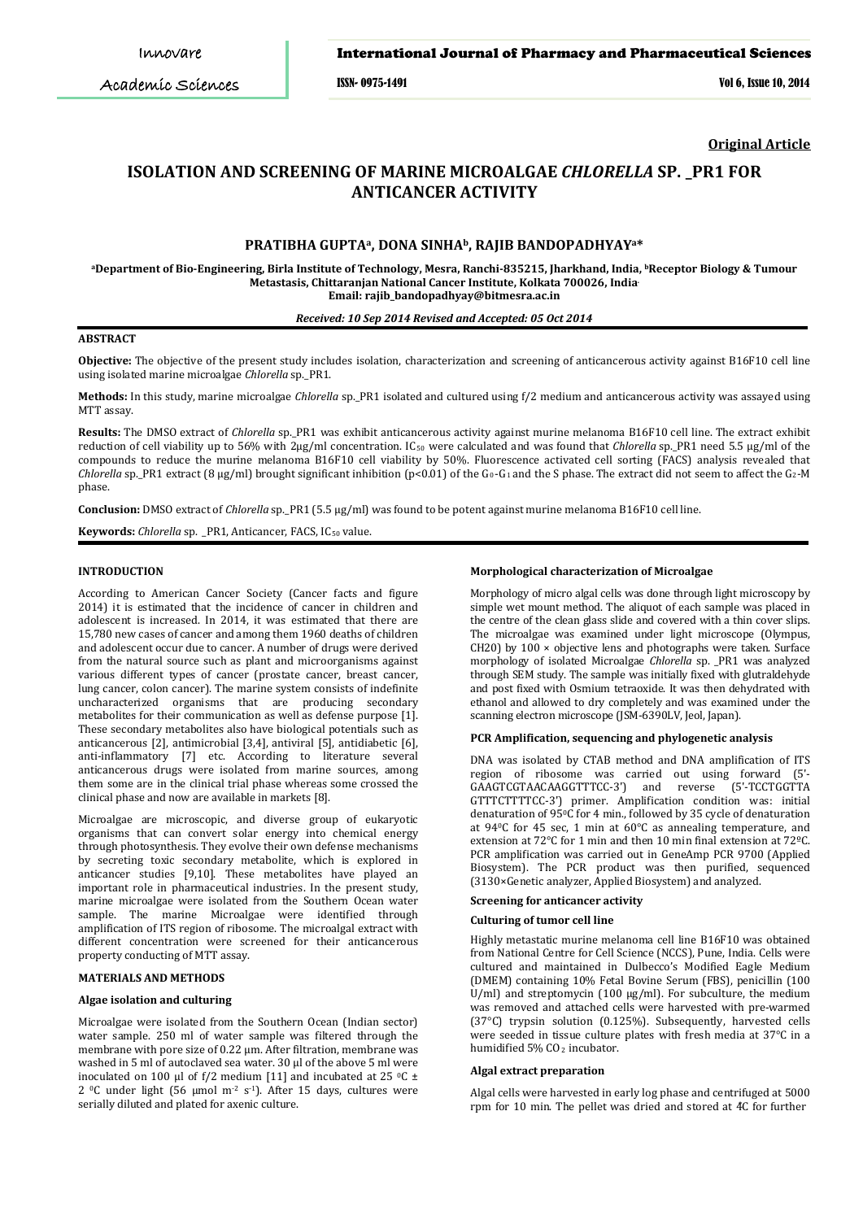# International Journal of Pharmacy and Pharmaceutical Sciences

ISSN- 0975-1491 Vol 6, Issue 10, 2014

**Original Article**

# **ISOLATION AND SCREENING OF MARINE MICROALGAE** *CHLORELLA* **SP. \_PR1 FOR ANTICANCER ACTIVITY**

# **PRATIBHA GUPTAa, DONA SINHAb, RAJIB BANDOPADHYAYa\***

**aDepartment of Bio-Engineering, Birla Institute of Technology, Mesra, Ranchi-835215, Jharkhand, India, bReceptor Biology & Tumour Metastasis, Chittaranjan National Cancer Institute, Kolkata 700026, India. Email: rajib\_bandopadhyay@bitmesra.ac.in**

#### *Received: 10 Sep 2014 Revised and Accepted: 05 Oct 2014*

# **ABSTRACT**

**Objective:** The objective of the present study includes isolation, characterization and screening of anticancerous activity against B16F10 cell line using isolated marine microalgae *Chlorella* sp.\_PR1.

**Methods:** In this study, marine microalgae *Chlorella* sp.\_PR1 isolated and cultured using f/2 medium and anticancerous activity was assayed using MTT assay.

**Results:** The DMSO extract of *Chlorella* sp.\_PR1 was exhibit anticancerous activity against murine melanoma B16F10 cell line. The extract exhibit reduction of cell viability up to 56% with 2µg/ml concentration. IC50 were calculated and was found that *Chlorella* sp.\_PR1 need 5.5 μg/ml of the compounds to reduce the murine melanoma B16F10 cell viability by 50%. Fluorescence activated cell sorting (FACS) analysis revealed that *Chlorella* sp.\_PR1 extract (8 µg/ml) brought significant inhibition (p<0.01) of the  $G_0$ - $G_1$  and the S phase. The extract did not seem to affect the  $G_2$ -M phase.

**Conclusion:** DMSO extract of *Chlorella* sp.\_PR1 (5.5 µg/ml) was found to be potent against murine melanoma B16F10 cell line.

**Keywords:** *Chlorella* sp. \_PR1, Anticancer, FACS, IC<sub>50</sub> value.

# **INTRODUCTION**

According to American Cancer Society (Cancer facts and figure 2014) it is estimated that the incidence of cancer in children and adolescent is increased. In 2014, it was estimated that there are 15,780 new cases of cancer and among them 1960 deaths of children and adolescent occur due to cancer. A number of drugs were derived from the natural source such as plant and microorganisms against various different types of cancer (prostate cancer, breast cancer, lung cancer, colon cancer). The marine system consists of indefinite uncharacterized organisms that are producing secondary metabolites for their communication as well as defense purpose [1]. These secondary metabolites also have biological potentials such as anticancerous [2], antimicrobial [3,4], antiviral [5], antidiabetic [6], anti-inflammatory [7] etc. According to literature several anticancerous drugs were isolated from marine sources, among them some are in the clinical trial phase whereas some crossed the clinical phase and now are available in markets [8].

Microalgae are microscopic, and diverse group of eukaryotic organisms that can convert solar energy into chemical energy through photosynthesis. They evolve their own defense mechanisms by secreting toxic secondary metabolite, which is explored in anticancer studies [9,10]. These metabolites have played an important role in pharmaceutical industries. In the present study, marine microalgae were isolated from the Southern Ocean water sample. The marine Microalgae were identified through amplification of ITS region of ribosome. The microalgal extract with different concentration were screened for their anticancerous property conducting of MTT assay.

#### **MATERIALS AND METHODS**

## **Algae isolation and culturing**

Microalgae were isolated from the Southern Ocean (Indian sector) water sample. 250 ml of water sample was filtered through the membrane with pore size of 0.22 µm. After filtration, membrane was washed in 5 ml of autoclaved sea water. 30 μl of the above 5 ml were inoculated on 100 μl of f/2 medium [11] and incubated at 25 °C  $\pm$ 2  $\degree$ C under light (56 µmol m<sup>-2</sup> s<sup>-1</sup>). After 15 days, cultures were serially diluted and plated for axenic culture.

#### **Morphological characterization of Microalgae**

Morphology of micro algal cells was done through light microscopy by simple wet mount method. The aliquot of each sample was placed in the centre of the clean glass slide and covered with a thin cover slips. The microalgae was examined under light microscope (Olympus, CH20) by  $100 \times$  objective lens and photographs were taken. Surface morphology of isolated Microalgae *Chlorella* sp. \_PR1 was analyzed through SEM study. The sample was initially fixed with glutraldehyde and post fixed with Osmium tetraoxide. It was then dehydrated with ethanol and allowed to dry completely and was examined under the scanning electron microscope (JSM-6390LV, Jeol, Japan).

#### **PCR Amplification, sequencing and phylogenetic analysis**

DNA was isolated by CTAB method and DNA amplification of ITS region of ribosome was carried out using forward (5'- GAAGTCGTAACAAGGTTTCC-3') and GTTTCTTTTCC-3') primer. Amplification condition was: initial denaturation of  $95\degree$ C for 4 min., followed by 35 cycle of denaturation at  $94^{\circ}$ C for 45 sec, 1 min at  $60^{\circ}$ C as annealing temperature, and extension at 72°C for 1 min and then 10 min final extension at 72ºC. PCR amplification was carried out in GeneAmp PCR 9700 (Applied Biosystem). The PCR product was then purified, sequenced (3130×Genetic analyzer, Applied Biosystem) and analyzed.

## **Screening for anticancer activity**

#### **Culturing of tumor cell line**

Highly metastatic murine melanoma cell line B16F10 was obtained from National Centre for Cell Science (NCCS), Pune, India. Cells were cultured and maintained in Dulbecco's Modified Eagle Medium (DMEM) containing 10% Fetal Bovine Serum (FBS), penicillin (100 U/ml) and streptomycin (100 μg/ml). For subculture, the medium was removed and attached cells were harvested with pre-warmed (37°C) trypsin solution (0.125%). Subsequently, harvested cells were seeded in tissue culture plates with fresh media at 37°C in a humidified  $5\%$  CO<sub>2</sub> incubator.

## **Algal extract preparation**

Algal cells were harvested in early log phase and centrifuged at 5000 rpm for 10 min. The pellet was dried and stored at 4C for further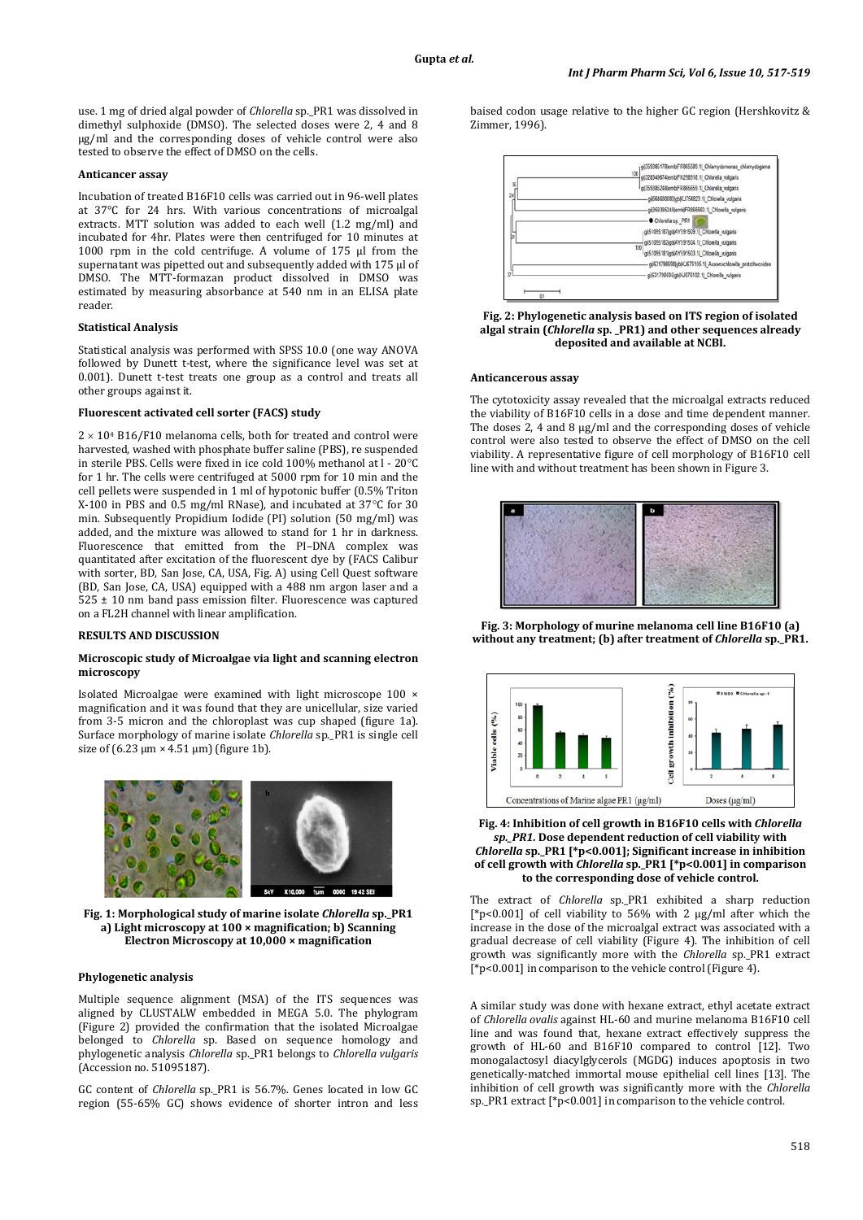use. 1 mg of dried algal powder of *Chlorella* sp. PR1 was dissolved in dimethyl sulphoxide (DMSO). The selected doses were 2, 4 and 8 µg/ml and the corresponding doses of vehicle control were also tested to observe the effect of DMSO on the cells.

## **Anticancer assay**

Incubation of treated B16F10 cells was carried out in 96-well plates at 37°C for 24 hrs. With various concentrations of microalgal extracts. MTT solution was added to each well (1.2 mg/ml) and incubated for 4hr. Plates were then centrifuged for 10 minutes at 1000 rpm in the cold centrifuge. A volume of 175 µl from the supernatant was pipetted out and subsequently added with 175 ul of DMSO. The MTT-formazan product dissolved in DMSO was estimated by measuring absorbance at 540 nm in an ELISA plate reader.

#### **Statistical Analysis**

Statistical analysis was performed with SPSS 10.0 (one way ANOVA followed by Dunett t-test, where the significance level was set at 0.001). Dunett t-test treats one group as a control and treats all other groups against it.

#### **Fluorescent activated cell sorter (FACS) study**

 $2 \times 10^4$  B16/F10 melanoma cells, both for treated and control were harvested, washed with phosphate buffer saline (PBS), re suspended in sterile PBS. Cells were fixed in ice cold 100% methanol at l - 20°C for 1 hr. The cells were centrifuged at 5000 rpm for 10 min and the cell pellets were suspended in 1 ml of hypotonic buffer (0.5% Triton X-100 in PBS and 0.5 mg/ml RNase), and incubated at 37°C for 30 min. Subsequently Propidium Iodide (PI) solution (50 mg/ml) was added, and the mixture was allowed to stand for 1 hr in darkness. Fluorescence that emitted from the PI–DNA complex was quantitated after excitation of the fluorescent dye by (FACS Calibur with sorter, BD, San Jose, CA, USA, Fig. A) using Cell Quest software (BD, San Jose, CA, USA) equipped with a 488 nm argon laser and a  $525 \pm 10$  nm band pass emission filter. Fluorescence was captured on a FL2H channel with linear amplification.

## **RESULTS AND DISCUSSION**

## **Microscopic study of Microalgae via light and scanning electron microscopy**

Isolated Microalgae were examined with light microscope 100 × magnification and it was found that they are unicellular, size varied from 3-5 micron and the chloroplast was cup shaped (figure 1a). Surface morphology of marine isolate *Chlorella* sp.\_PR1 is single cell size of  $(6.23 \mu m \times 4.51 \mu m)$  (figure 1b).



**Fig. 1: Morphological study of marine isolate** *Chlorella* **sp.\_PR1 a) Light microscopy at 100 × magnification; b) Scanning Electron Microscopy at 10,000 × magnification**

#### **Phylogenetic analysis**

Multiple sequence alignment (MSA) of the ITS sequences was aligned by CLUSTALW embedded in MEGA 5.0. The phylogram (Figure 2) provided the confirmation that the isolated Microalgae belonged to *Chlorella* sp. Based on sequence homology and phylogenetic analysis *Chlorella* sp.\_PR1 belongs to *Chlorella vulgaris* (Accession no. 51095187).

GC content of *Chlorella* sp.\_PR1 is 56.7%. Genes located in low GC region (55-65% GC) shows evidence of shorter intron and less baised codon usage relative to the higher GC region (Hershkovitz & Zimmer, 1996).



**Fig. 2: Phylogenetic analysis based on ITS region of isolated algal strain (***Chlorella* **sp. \_PR1) and other sequences already deposited and available at NCBI.**

#### **Anticancerous assay**

The cytotoxicity assay revealed that the microalgal extracts reduced the viability of B16F10 cells in a dose and time dependent manner. The doses 2, 4 and 8 µg/ml and the corresponding doses of vehicle control were also tested to observe the effect of DMSO on the cell viability. A representative figure of cell morphology of B16F10 cell line with and without treatment has been shown in Figure 3.



**Fig. 3: Morphology of murine melanoma cell line B16F10 (a) without any treatment; (b) after treatment of** *Chlorella* **sp.\_PR1.**



## **Fig. 4: Inhibition of cell growth in B16F10 cells with** *Chlorella sp.\_PR1.* **Dose dependent reduction of cell viability with**  *Chlorella* **sp.\_PR1 [\*p<0.001]; Significant increase in inhibition of cell growth with** *Chlorella* **sp.\_PR1 [\*p<0.001] in comparison to the corresponding dose of vehicle control.**

The extract of *Chlorella* sp. PR1 exhibited a sharp reduction [\*p<0.001] of cell viability to 56% with 2 μg/ml after which the increase in the dose of the microalgal extract was associated with a gradual decrease of cell viability (Figure 4). The inhibition of cell growth was significantly more with the *Chlorella* sp.\_PR1 extract [\*p<0.001] in comparison to the vehicle control (Figure 4).

A similar study was done with hexane extract, ethyl acetate extract of *Chlorella ovalis* against HL-60 and murine melanoma B16F10 cell line and was found that, hexane extract effectively suppress the growth of HL-60 and B16F10 compared to control [12]. Two monogalactosyl diacylglycerols (MGDG) induces apoptosis in two genetically-matched immortal mouse epithelial cell lines [13]. The inhibition of cell growth was significantly more with the *Chlorella*  sp.\_PR1 extract [\*p<0.001] in comparison to the vehicle control.